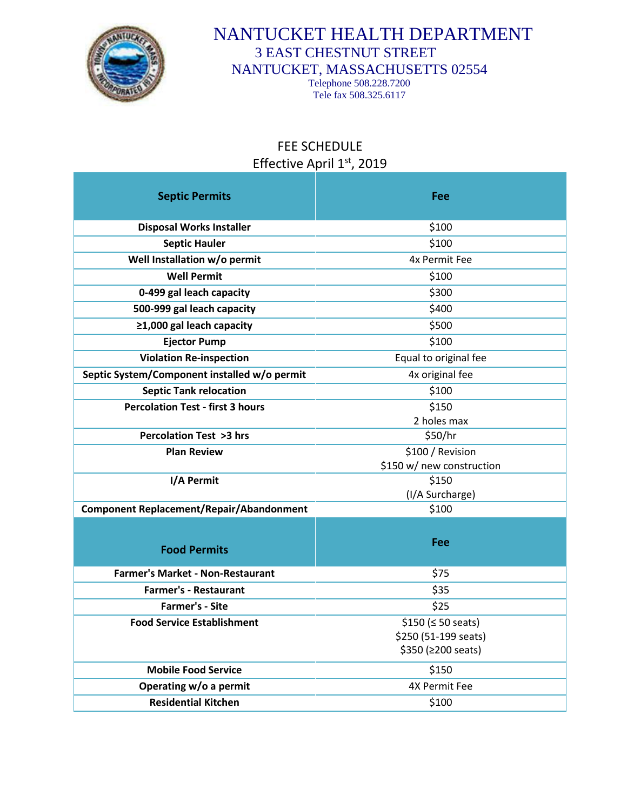

## NANTUCKET HEALTH DEPARTMENT 3 EAST CHESTNUT STREET NANTUCKET, MASSACHUSETTS 02554

Telephone 508.228.7200 Tele fax 508.325.6117

## FEE SCHEDULE Effective April 1st, 2019

| <b>Septic Permits</b>                           | Fee                       |
|-------------------------------------------------|---------------------------|
|                                                 |                           |
| <b>Disposal Works Installer</b>                 | \$100                     |
| <b>Septic Hauler</b>                            | \$100                     |
| Well Installation w/o permit                    | 4x Permit Fee             |
| <b>Well Permit</b>                              | \$100                     |
| 0-499 gal leach capacity                        | \$300                     |
| 500-999 gal leach capacity                      | \$400                     |
| ≥1,000 gal leach capacity                       | \$500                     |
| <b>Ejector Pump</b>                             | \$100                     |
| <b>Violation Re-inspection</b>                  | Equal to original fee     |
| Septic System/Component installed w/o permit    | 4x original fee           |
| <b>Septic Tank relocation</b>                   | \$100                     |
| <b>Percolation Test - first 3 hours</b>         | \$150                     |
|                                                 | 2 holes max               |
| <b>Percolation Test &gt;3 hrs</b>               | \$50/hr                   |
| <b>Plan Review</b>                              | \$100 / Revision          |
|                                                 | \$150 w/ new construction |
| I/A Permit                                      | \$150                     |
|                                                 | (I/A Surcharge)           |
| <b>Component Replacement/Repair/Abandonment</b> | \$100                     |
|                                                 |                           |
| <b>Food Permits</b>                             | Fee                       |
| <b>Farmer's Market - Non-Restaurant</b>         | \$75                      |
| <b>Farmer's - Restaurant</b>                    | \$35                      |
| <b>Farmer's - Site</b>                          | \$25                      |
| <b>Food Service Establishment</b>               | \$150 (\$50\$             |
|                                                 | \$250 (51-199 seats)      |
|                                                 | \$350 (≥200 seats)        |
| <b>Mobile Food Service</b>                      | \$150                     |
| Operating w/o a permit                          | 4X Permit Fee             |
| <b>Residential Kitchen</b>                      | \$100                     |